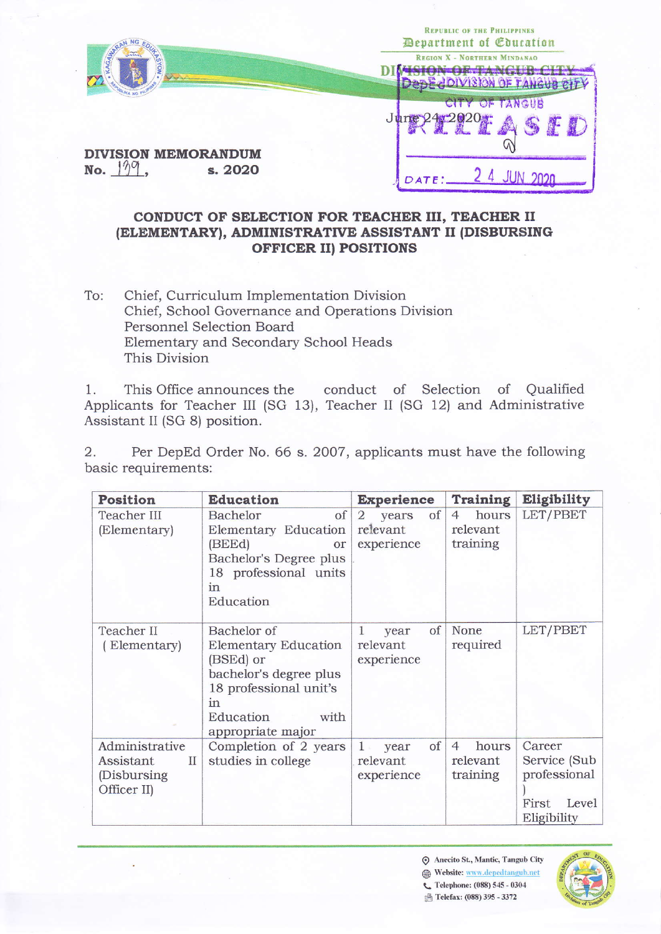|                            | <b>REPUBLIC OF THE PHILIPPINES</b><br>Department of <i>Couration</i> |  |
|----------------------------|----------------------------------------------------------------------|--|
|                            | <b>REGION X - NORTHERN MINDANAO</b>                                  |  |
| <b>DIVISION MEMORANDUM</b> | <b>CITY OF TANGUS</b>                                                |  |
| s. 2020<br>No.             | DATE:                                                                |  |

## CONDUCT OF SELECTION FOR TEACHER III, TEACHER II (ELEMENTARY), ADMINISTRATIVE ASSISTANT II (DISBURSING **OFFICER II) POSITIONS**

Chief, Curriculum Implementation Division To: Chief, School Governance and Operations Division Personnel Selection Board Elementary and Secondary School Heads This Division

This Office announces the conduct of Selection of Qualified  $1$ . Applicants for Teacher III (SG 13), Teacher II (SG 12) and Administrative Assistant II (SG 8) position.

 $\overline{2}$ . Per DepEd Order No. 66 s. 2007, applicants must have the following basic requirements:

| <b>Position</b>                                                             | <b>Education</b>                                                                                                                                     | <b>Experience</b>                                       | <b>Training</b>                                 | Eligibility                                                              |
|-----------------------------------------------------------------------------|------------------------------------------------------------------------------------------------------------------------------------------------------|---------------------------------------------------------|-------------------------------------------------|--------------------------------------------------------------------------|
| <b>Teacher III</b><br>(Elementary)                                          | of<br>Bachelor<br>Elementary Education<br>(BEEd)<br>or<br>Bachelor's Degree plus<br>18 professional units<br>in<br>Education                         | of<br>$\overline{2}$<br>years<br>relevant<br>experience | hours<br>$\overline{4}$<br>relevant<br>training | LET/PBET                                                                 |
| Teacher II<br>Elementary                                                    | Bachelor of<br>Elementary Education<br>(BSEd) or<br>bachelor's degree plus<br>18 professional unit's<br>in<br>Education<br>with<br>appropriate major | of<br>$\mathbf{1}$<br>year<br>relevant<br>experience    | None<br>required                                | LET/PBET                                                                 |
| Administrative<br>Assistant<br>$\mathcal{I}$<br>(Disbursing)<br>Officer II) | Completion of 2 years<br>studies in college                                                                                                          | of<br>$1$ year<br>relevant<br>experience                | hours<br>$\overline{4}$<br>relevant<br>training | Career<br>Service (Sub)<br>professional<br>First<br>Level<br>Eligibility |

⊙ Anecito St., Mantic, Tangub City Website: www.depedtangub.net C Telephone: (088) 545 - 0304

**B** Telefax: (088) 395 - 3372

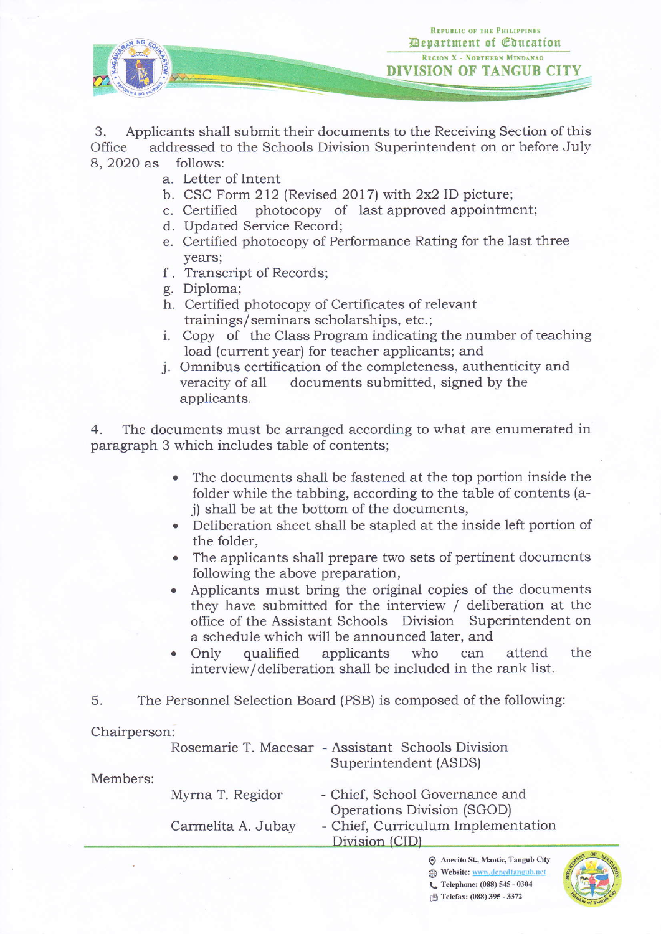

3. Applicants shall submit their documents to the Receiving Section of this Office addressed to the Schools Division Superintendent on or before July addressed to the Schools Division Superintendent on or before July 8, 2020 as follows:

- Letter of Intent a,
- b. CSC Form 212 (Revised 2017) with 2x2 ID picture;
- c. Certified photocopy of last approved appointment
- d. Updated Service Record;
- e. Certified photocopy of Performance Rating for the last three years;
- f. Transcript of Records;
- g. Diploma;
- h. Certified photocopy of Certificates of relevant trainings/seminars scholarships, etc. ;
- i. Copy of the Class Program indicating the number of teaching<br>load (current year) for teacher applicants; and
- j. Omnibus certification of the completeness, authenticity and veracity of all documents submitted, signed by the applicants.

4. The documents must be arranged according to what are enumerated in paragraph 3 which includes table of contents;

- The documents shall be fastened at the top portion inside the folder while the tabbing, according to the table of contents (aj) shall be at the bottom of the documents,
- Deliberation sheet shall be stapled at the inside left portion of the folder,
- The applicants shall prepare two sets of pertinent documents following the above preparation,
- . Applicants must bring the original copies of the documents they have submitted for the interview / deliberation at the office of the Assistant Schools Division Superintendent on a schedule which will be announced later, and
- . Only qualified applicants who can attend the interview/deliberation shall be included in the rank list.
- 5. The Personnel Selection Board (PSB) is composed of the following:

## Chairperson:

|          |                    | Rosemarie T. Macesar - Assistant Schools Division<br>Superintendent (ASDS) |
|----------|--------------------|----------------------------------------------------------------------------|
| Members: | Myrna T. Regidor   | - Chief, School Governance and<br>Operations Division (SGOD)               |
|          | Carmelita A. Jubay | - Chief, Curriculum Implementation<br>Division (CID)                       |

 $\odot$  Anecito St., Mantic, Tangub City Website: www.depedtangub.net L. Telephone: (088) 545 - 0304 **B** Telefax: (088) 395 - 3372